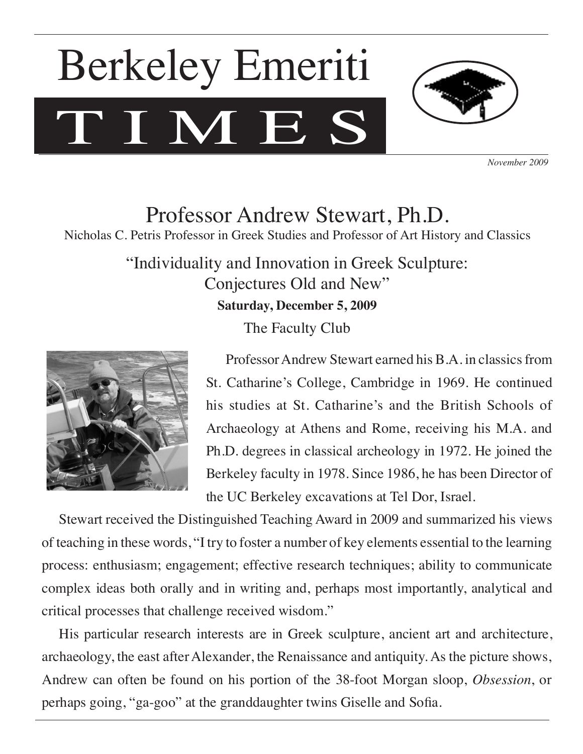# TIMES Berkeley Emeriti



*November 2009*

Professor Andrew Stewart, Ph.D. Nicholas C. Petris Professor in Greek Studies and Professor of Art History and Classics

> "Individuality and Innovation in Greek Sculpture: Conjectures Old and New" **Saturday, December 5, 2009** The Faculty Club



 Professor Andrew Stewart earned his B.A. in classics from St. Catharine's College, Cambridge in 1969. He continued his studies at St. Catharine's and the British Schools of Archaeology at Athens and Rome, receiving his M.A. and Ph.D. degrees in classical archeology in 1972. He joined the Berkeley faculty in 1978. Since 1986, he has been Director of the UC Berkeley excavations at Tel Dor, Israel.

Stewart received the Distinguished Teaching Award in 2009 and summarized his views of teaching in these words, "I try to foster a number of key elements essential to the learning process: enthusiasm; engagement; effective research techniques; ability to communicate complex ideas both orally and in writing and, perhaps most importantly, analytical and critical processes that challenge received wisdom."

His particular research interests are in Greek sculpture, ancient art and architecture, archaeology, the east after Alexander, the Renaissance and antiquity. As the picture shows, Andrew can often be found on his portion of the 38-foot Morgan sloop, *Obsession*, or perhaps going, "ga-goo" at the granddaughter twins Giselle and Sofia.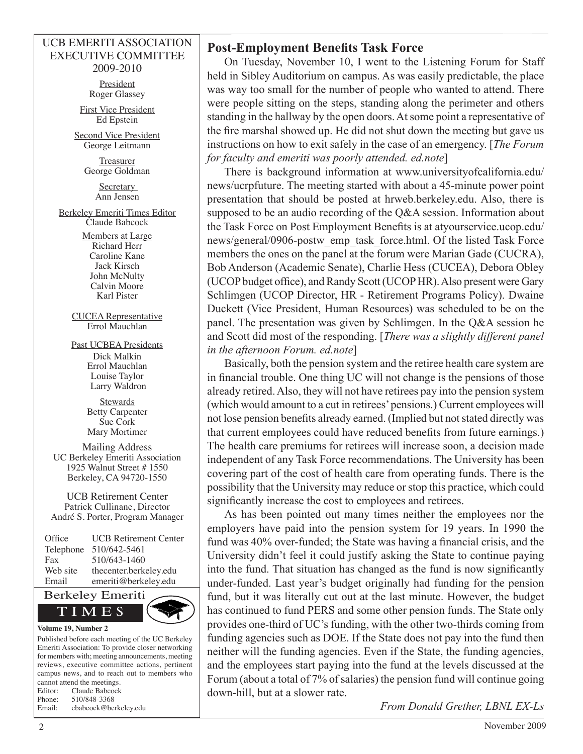#### UCB EMERITI ASSOCIATION EXECUTIVE COMMITTEE 2009-2010

**President** Roger Glassey

First Vice President Ed Epstein

Second Vice President George Leitmann

> Treasurer George Goldman

> > **Secretary** Ann Jensen

Berkeley Emeriti Times Editor Claude Babcock

> Members at Large Richard Herr Caroline Kane Jack Kirsch John McNulty Calvin Moore Karl Pister

CUCEA Representative Errol Mauchlan

Past UCBEA Presidents Dick Malkin Errol Mauchlan Louise Taylor Larry Waldron

> **Stewards** Betty Carpenter Sue Cork Mary Mortimer

Mailing Address UC Berkeley Emeriti Association 1925 Walnut Street # 1550 Berkeley, CA 94720-1550

UCB Retirement Center Patrick Cullinane, Director André S. Porter, Program Manager

| Office    | <b>UCB</b> Retirement Center |
|-----------|------------------------------|
| Telephone | 510/642-5461                 |
| Fax       | 510/643-1460                 |
| Web site  | thecenter.berkeley.edu       |
| Email     | emeriti@berkeley.edu         |



Published before each meeting of the UC Berkeley Emeriti Association: To provide closer networking for members with; meeting announcements, meeting reviews, executive committee actions, pertinent campus news, and to reach out to members who cannot attend the meetings. Editor: Claude Babcock Phone: 510/848-3368 Email: cbabcock@berkeley.edu

### **Post-Employment Benefits Task Force**

On Tuesday, November 10, I went to the Listening Forum for Staff held in Sibley Auditorium on campus. As was easily predictable, the place was way too small for the number of people who wanted to attend. There were people sitting on the steps, standing along the perimeter and others standing in the hallway by the open doors. At some point a representative of the fire marshal showed up. He did not shut down the meeting but gave us instructions on how to exit safely in the case of an emergency. [*The Forum for faculty and emeriti was poorly attended. ed.note*]

There is background information at www.universityofcalifornia.edu/ news/ucrpfuture. The meeting started with about a 45-minute power point presentation that should be posted at hrweb.berkeley.edu. Also, there is supposed to be an audio recording of the Q&A session. Information about the Task Force on Post Employment Benefits is at atyourservice.ucop.edu/ news/general/0906-postw\_emp\_task\_force.html. Of the listed Task Force members the ones on the panel at the forum were Marian Gade (CUCRA), Bob Anderson (Academic Senate), Charlie Hess (CUCEA), Debora Obley (UCOP budget office), and Randy Scott (UCOP HR). Also present were Gary Schlimgen (UCOP Director, HR - Retirement Programs Policy). Dwaine Duckett (Vice President, Human Resources) was scheduled to be on the panel. The presentation was given by Schlimgen. In the Q&A session he and Scott did most of the responding. [*There was a slightly different panel in the afternoon Forum. ed.note*]

Basically, both the pension system and the retiree health care system are in financial trouble. One thing UC will not change is the pensions of those already retired. Also, they will not have retirees pay into the pension system (which would amount to a cut in retirees' pensions.) Current employees will not lose pension benefits already earned. (Implied but not stated directly was that current employees could have reduced benefits from future earnings.) The health care premiums for retirees will increase soon, a decision made independent of any Task Force recommendations. The University has been covering part of the cost of health care from operating funds. There is the possibility that the University may reduce or stop this practice, which could significantly increase the cost to employees and retirees.

As has been pointed out many times neither the employees nor the employers have paid into the pension system for 19 years. In 1990 the fund was 40% over-funded; the State was having a financial crisis, and the University didn't feel it could justify asking the State to continue paying into the fund. That situation has changed as the fund is now significantly under-funded. Last year's budget originally had funding for the pension fund, but it was literally cut out at the last minute. However, the budget has continued to fund PERS and some other pension funds. The State only provides one-third of UC's funding, with the other two-thirds coming from funding agencies such as DOE. If the State does not pay into the fund then neither will the funding agencies. Even if the State, the funding agencies, and the employees start paying into the fund at the levels discussed at the Forum (about a total of 7% of salaries) the pension fund will continue going down-hill, but at a slower rate.

*From Donald Grether, LBNL EX-Ls*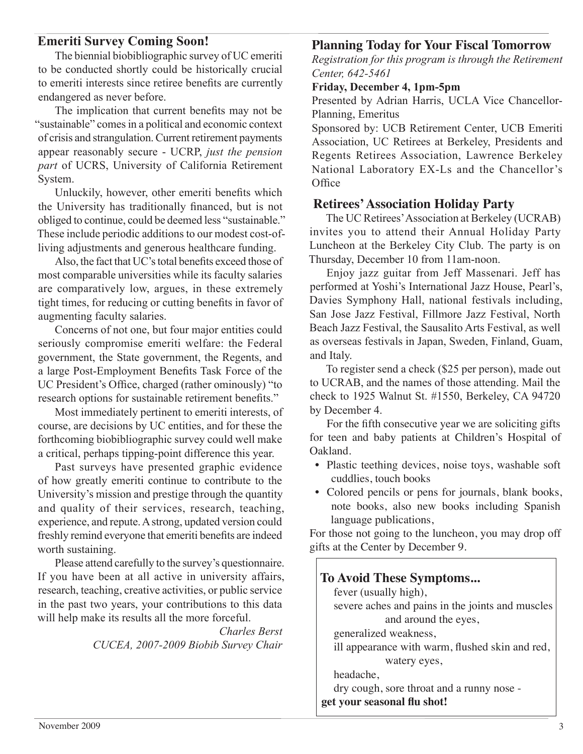### **Emeriti Survey Coming Soon!**

The biennial biobibliographic survey of UC emeriti to be conducted shortly could be historically crucial to emeriti interests since retiree benefits are currently endangered as never before.

The implication that current benefits may not be "sustainable" comes in a political and economic context of crisis and strangulation. Current retirement payments appear reasonably secure - UCRP, *just the pension part* of UCRS, University of California Retirement System.

Unluckily, however, other emeriti benefits which the University has traditionally financed, but is not obliged to continue, could be deemed less "sustainable." These include periodic additions to our modest cost-ofliving adjustments and generous healthcare funding.

Also, the fact that UC's total benefits exceed those of most comparable universities while its faculty salaries are comparatively low, argues, in these extremely tight times, for reducing or cutting benefits in favor of augmenting faculty salaries.

Concerns of not one, but four major entities could seriously compromise emeriti welfare: the Federal government, the State government, the Regents, and a large Post-Employment Benefits Task Force of the UC President's Office, charged (rather ominously) "to research options for sustainable retirement benefits."

Most immediately pertinent to emeriti interests, of course, are decisions by UC entities, and for these the forthcoming biobibliographic survey could well make a critical, perhaps tipping-point difference this year.

Past surveys have presented graphic evidence of how greatly emeriti continue to contribute to the University's mission and prestige through the quantity and quality of their services, research, teaching, experience, and repute. A strong, updated version could freshly remind everyone that emeriti benefits are indeed worth sustaining.

Please attend carefully to the survey's questionnaire. If you have been at all active in university affairs, research, teaching, creative activities, or public service in the past two years, your contributions to this data will help make its results all the more forceful.

> *Charles Berst CUCEA, 2007-2009 Biobib Survey Chair*

## **Planning Today for Your Fiscal Tomorrow**

*Registration for this program is through the Retirement Center, 642-5461*

#### **Friday, December 4, 1pm-5pm**

Presented by Adrian Harris, UCLA Vice Chancellor-Planning, Emeritus

Sponsored by: UCB Retirement Center, UCB Emeriti Association, UC Retirees at Berkeley, Presidents and Regents Retirees Association, Lawrence Berkeley National Laboratory EX-Ls and the Chancellor's **Office** 

#### **Retirees' Association Holiday Party**

The UC Retirees' Association at Berkeley (UCRAB) invites you to attend their Annual Holiday Party Luncheon at the Berkeley City Club. The party is on Thursday, December 10 from 11am-noon.

Enjoy jazz guitar from Jeff Massenari. Jeff has performed at Yoshi's International Jazz House, Pearl's, Davies Symphony Hall, national festivals including, San Jose Jazz Festival, Fillmore Jazz Festival, North Beach Jazz Festival, the Sausalito Arts Festival, as well as overseas festivals in Japan, Sweden, Finland, Guam, and Italy.

To register send a check (\$25 per person), made out to UCRAB, and the names of those attending. Mail the check to 1925 Walnut St. #1550, Berkeley, CA 94720 by December 4.

For the fifth consecutive year we are soliciting gifts for teen and baby patients at Children's Hospital of Oakland.

- Plastic teething devices, noise toys, washable soft cuddlies, touch books
- Colored pencils or pens for journals, blank books, note books, also new books including Spanish language publications,

For those not going to the luncheon, you may drop off gifts at the Center by December 9.

# **To Avoid These Symptoms...**

fever (usually high), severe aches and pains in the joints and muscles and around the eyes, generalized weakness, ill appearance with warm, flushed skin and red, watery eyes,

headache,

dry cough, sore throat and a runny nose -

**get your seasonal flu shot!**